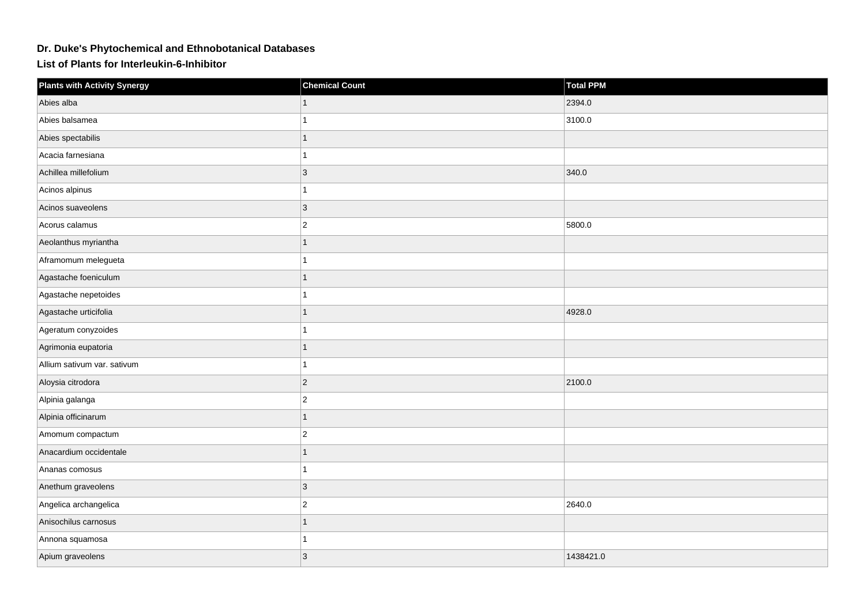## **Dr. Duke's Phytochemical and Ethnobotanical Databases**

**List of Plants for Interleukin-6-Inhibitor**

| <b>Plants with Activity Synergy</b> | <b>Chemical Count</b> | <b>Total PPM</b> |
|-------------------------------------|-----------------------|------------------|
| Abies alba                          |                       | 2394.0           |
| Abies balsamea                      |                       | 3100.0           |
| Abies spectabilis                   |                       |                  |
| Acacia farnesiana                   |                       |                  |
| Achillea millefolium                | $\overline{3}$        | 340.0            |
| Acinos alpinus                      |                       |                  |
| Acinos suaveolens                   | 3                     |                  |
| Acorus calamus                      | $\overline{c}$        | 5800.0           |
| Aeolanthus myriantha                |                       |                  |
| Aframomum melegueta                 |                       |                  |
| Agastache foeniculum                | 1                     |                  |
| Agastache nepetoides                |                       |                  |
| Agastache urticifolia               |                       | 4928.0           |
| Ageratum conyzoides                 |                       |                  |
| Agrimonia eupatoria                 |                       |                  |
| Allium sativum var. sativum         |                       |                  |
| Aloysia citrodora                   | $\overline{2}$        | 2100.0           |
| Alpinia galanga                     | $\overline{2}$        |                  |
| Alpinia officinarum                 |                       |                  |
| Amomum compactum                    | $\overline{c}$        |                  |
| Anacardium occidentale              |                       |                  |
| Ananas comosus                      |                       |                  |
| Anethum graveolens                  | 3                     |                  |
| Angelica archangelica               | $\overline{2}$        | 2640.0           |
| Anisochilus carnosus                |                       |                  |
| Annona squamosa                     |                       |                  |
| Apium graveolens                    | 3                     | 1438421.0        |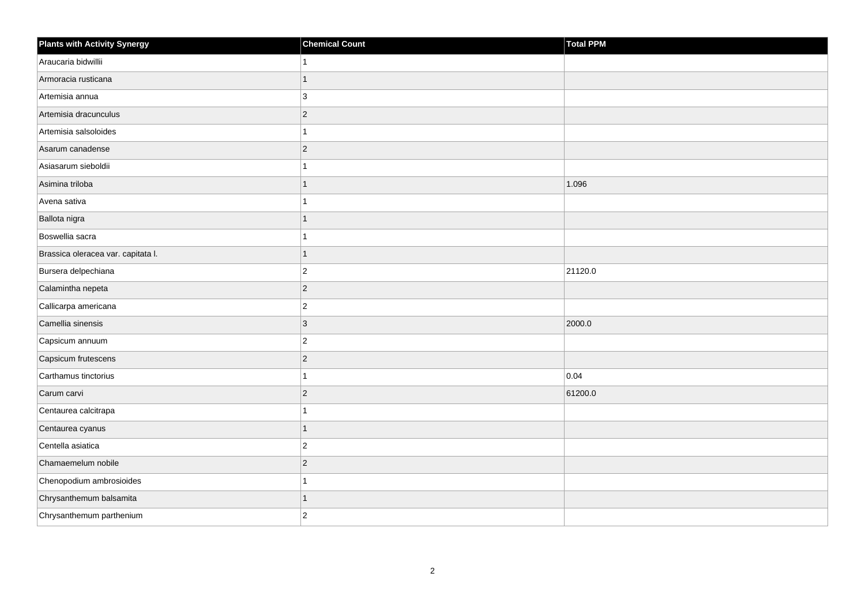| <b>Plants with Activity Synergy</b> | <b>Chemical Count</b> | <b>Total PPM</b> |
|-------------------------------------|-----------------------|------------------|
| Araucaria bidwillii                 | 1                     |                  |
| Armoracia rusticana                 | 1                     |                  |
| Artemisia annua                     | 3                     |                  |
| Artemisia dracunculus               | $ 2\rangle$           |                  |
| Artemisia salsoloides               | 1                     |                  |
| Asarum canadense                    | $ 2\rangle$           |                  |
| Asiasarum sieboldii                 | 1                     |                  |
| Asimina triloba                     | $\mathbf{1}$          | 1.096            |
| Avena sativa                        | $\mathbf{1}$          |                  |
| Ballota nigra                       | $\mathbf{1}$          |                  |
| Boswellia sacra                     | 1                     |                  |
| Brassica oleracea var. capitata I.  | $\mathbf{1}$          |                  |
| Bursera delpechiana                 | $ 2\rangle$           | 21120.0          |
| Calamintha nepeta                   | $ 2\rangle$           |                  |
| Callicarpa americana                | $ 2\rangle$           |                  |
| Camellia sinensis                   | $ 3\rangle$           | 2000.0           |
| Capsicum annuum                     | $\overline{2}$        |                  |
| Capsicum frutescens                 | $ 2\rangle$           |                  |
| Carthamus tinctorius                | $\overline{1}$        | 0.04             |
| Carum carvi                         | $ 2\rangle$           | 61200.0          |
| Centaurea calcitrapa                | 1                     |                  |
| Centaurea cyanus                    | 1                     |                  |
| Centella asiatica                   | $ 2\rangle$           |                  |
| Chamaemelum nobile                  | $ 2\rangle$           |                  |
| Chenopodium ambrosioides            | $\mathbf{1}$          |                  |
| Chrysanthemum balsamita             | 1                     |                  |
| Chrysanthemum parthenium            | $\overline{2}$        |                  |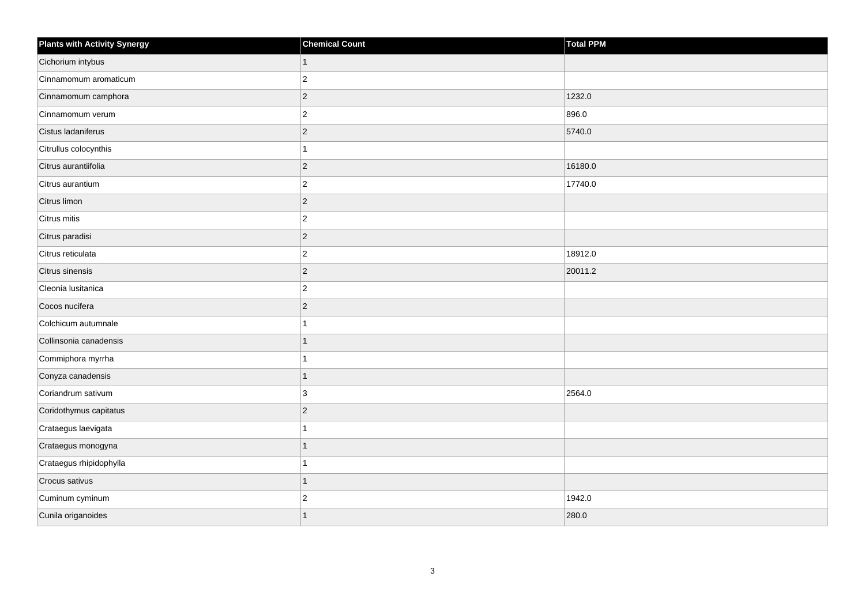| <b>Plants with Activity Synergy</b> | <b>Chemical Count</b> | <b>Total PPM</b> |
|-------------------------------------|-----------------------|------------------|
| Cichorium intybus                   | 1                     |                  |
| Cinnamomum aromaticum               | $\overline{2}$        |                  |
| Cinnamomum camphora                 | $\overline{2}$        | 1232.0           |
| Cinnamomum verum                    | $\overline{2}$        | 896.0            |
| Cistus ladaniferus                  | $\overline{2}$        | 5740.0           |
| Citrullus colocynthis               |                       |                  |
| Citrus aurantiifolia                | $\overline{2}$        | 16180.0          |
| Citrus aurantium                    | $\overline{2}$        | 17740.0          |
| Citrus limon                        | $\overline{2}$        |                  |
| Citrus mitis                        | $\overline{2}$        |                  |
| Citrus paradisi                     | $\overline{2}$        |                  |
| Citrus reticulata                   | $\overline{2}$        | 18912.0          |
| Citrus sinensis                     | $\overline{2}$        | 20011.2          |
| Cleonia lusitanica                  | $\overline{2}$        |                  |
| Cocos nucifera                      | $\overline{2}$        |                  |
| Colchicum autumnale                 |                       |                  |
| Collinsonia canadensis              |                       |                  |
| Commiphora myrrha                   |                       |                  |
| Conyza canadensis                   | 1                     |                  |
| Coriandrum sativum                  | 3                     | 2564.0           |
| Coridothymus capitatus              | $\overline{2}$        |                  |
| Crataegus laevigata                 |                       |                  |
| Crataegus monogyna                  |                       |                  |
| Crataegus rhipidophylla             |                       |                  |
| Crocus sativus                      | 1                     |                  |
| Cuminum cyminum                     | $\overline{2}$        | 1942.0           |
| Cunila origanoides                  |                       | 280.0            |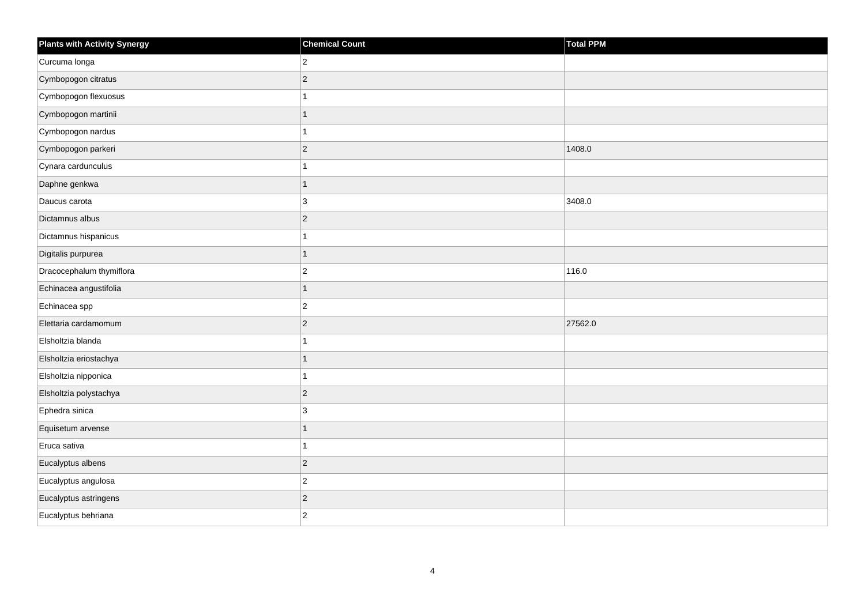| <b>Plants with Activity Synergy</b> | <b>Chemical Count</b> | <b>Total PPM</b> |
|-------------------------------------|-----------------------|------------------|
| Curcuma longa                       | $\overline{2}$        |                  |
| Cymbopogon citratus                 | $\overline{c}$        |                  |
| Cymbopogon flexuosus                | 1                     |                  |
| Cymbopogon martinii                 | $\mathbf{1}$          |                  |
| Cymbopogon nardus                   | 1                     |                  |
| Cymbopogon parkeri                  | $\overline{c}$        | 1408.0           |
| Cynara cardunculus                  | 1                     |                  |
| Daphne genkwa                       | $\overline{1}$        |                  |
| Daucus carota                       | 3                     | 3408.0           |
| Dictamnus albus                     | $\overline{2}$        |                  |
| Dictamnus hispanicus                | 1                     |                  |
| Digitalis purpurea                  | $\mathbf{1}$          |                  |
| Dracocephalum thymiflora            | $\overline{c}$        | 116.0            |
| Echinacea angustifolia              | $\overline{1}$        |                  |
| Echinacea spp                       | $\overline{c}$        |                  |
| Elettaria cardamomum                | $\overline{c}$        | 27562.0          |
| Elsholtzia blanda                   | 1                     |                  |
| Elsholtzia eriostachya              | $\overline{1}$        |                  |
| Elsholtzia nipponica                | 1                     |                  |
| Elsholtzia polystachya              | $\overline{c}$        |                  |
| Ephedra sinica                      | 3                     |                  |
| Equisetum arvense                   | $\overline{1}$        |                  |
| Eruca sativa                        | 1                     |                  |
| Eucalyptus albens                   | $\overline{c}$        |                  |
| Eucalyptus angulosa                 | $\overline{c}$        |                  |
| Eucalyptus astringens               | $\overline{c}$        |                  |
| Eucalyptus behriana                 | $\overline{2}$        |                  |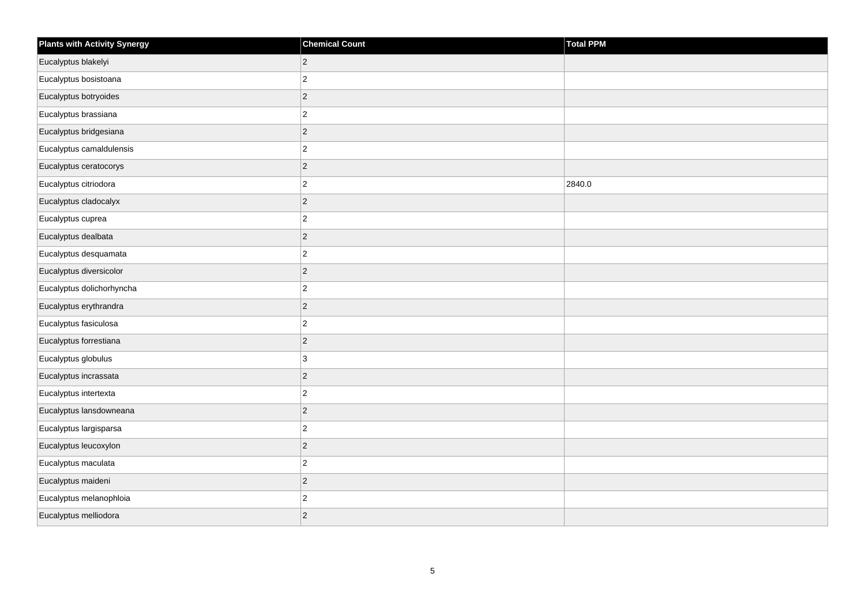| <b>Plants with Activity Synergy</b> | <b>Chemical Count</b> | <b>Total PPM</b> |
|-------------------------------------|-----------------------|------------------|
| Eucalyptus blakelyi                 | $\sqrt{2}$            |                  |
| Eucalyptus bosistoana               | $\mathbf 2$           |                  |
| Eucalyptus botryoides               | $\overline{c}$        |                  |
| Eucalyptus brassiana                | $\overline{c}$        |                  |
| Eucalyptus bridgesiana              | $\mathbf 2$           |                  |
| Eucalyptus camaldulensis            | $\mathbf 2$           |                  |
| Eucalyptus ceratocorys              | $\vert$ 2             |                  |
| Eucalyptus citriodora               | $\mathbf 2$           | 2840.0           |
| Eucalyptus cladocalyx               | $\mathbf 2$           |                  |
| Eucalyptus cuprea                   | $\overline{c}$        |                  |
| Eucalyptus dealbata                 | $\mathbf 2$           |                  |
| Eucalyptus desquamata               | $\overline{c}$        |                  |
| Eucalyptus diversicolor             | $\mathbf 2$           |                  |
| Eucalyptus dolichorhyncha           | $\overline{c}$        |                  |
| Eucalyptus erythrandra              | $\mathbf 2$           |                  |
| Eucalyptus fasiculosa               | $\overline{c}$        |                  |
| Eucalyptus forrestiana              | $\mathbf 2$           |                  |
| Eucalyptus globulus                 | 3                     |                  |
| Eucalyptus incrassata               | $\vert$ 2             |                  |
| Eucalyptus intertexta               | $\mathbf 2$           |                  |
| Eucalyptus lansdowneana             | $\vert$ 2             |                  |
| Eucalyptus largisparsa              | $\overline{c}$        |                  |
| Eucalyptus leucoxylon               | $\sqrt{2}$            |                  |
| Eucalyptus maculata                 | $\mathbf 2$           |                  |
| Eucalyptus maideni                  | $\vert$ 2             |                  |
| Eucalyptus melanophloia             | $\mathbf 2$           |                  |
| Eucalyptus melliodora               | $\mathbf 2$           |                  |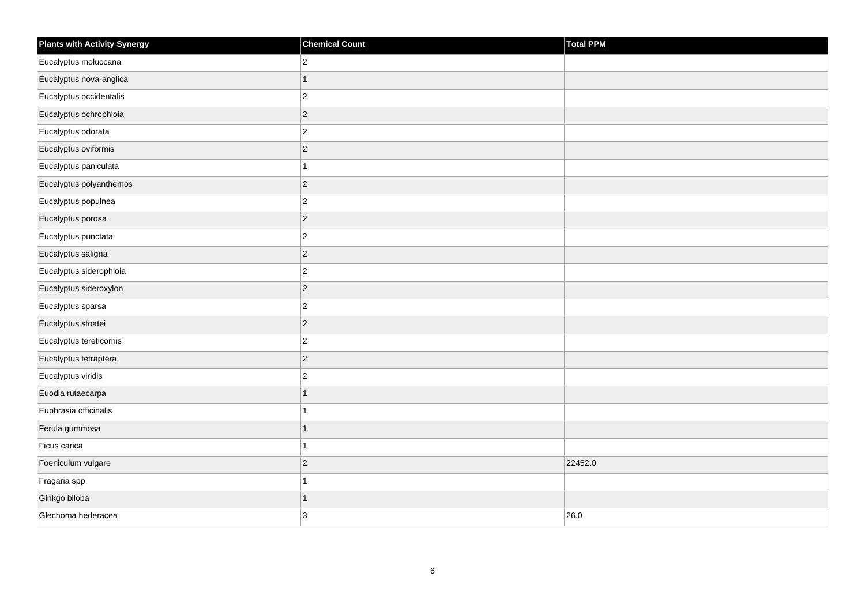| <b>Plants with Activity Synergy</b> | <b>Chemical Count</b> | Total PPM |
|-------------------------------------|-----------------------|-----------|
| Eucalyptus moluccana                | $\overline{2}$        |           |
| Eucalyptus nova-anglica             | $\mathbf{1}$          |           |
| Eucalyptus occidentalis             | $\overline{c}$        |           |
| Eucalyptus ochrophloia              | $\vert$ <sub>2</sub>  |           |
| Eucalyptus odorata                  | $\overline{c}$        |           |
| Eucalyptus oviformis                | $\vert$ 2             |           |
| Eucalyptus paniculata               | $\mathbf{1}$          |           |
| Eucalyptus polyanthemos             | $\mathbf 2$           |           |
| Eucalyptus populnea                 | $\vert$ 2             |           |
| Eucalyptus porosa                   | $\vert$ 2             |           |
| Eucalyptus punctata                 | $\mathbf 2$           |           |
| Eucalyptus saligna                  | $\vert$ 2             |           |
| Eucalyptus siderophloia             | $\vert$ 2             |           |
| Eucalyptus sideroxylon              | $\mathbf 2$           |           |
| Eucalyptus sparsa                   | $\vert$ 2             |           |
| Eucalyptus stoatei                  | $\vert$ 2             |           |
| Eucalyptus tereticornis             | $\mathbf 2$           |           |
| Eucalyptus tetraptera               | $\vert$ 2             |           |
| Eucalyptus viridis                  | $\vert$ <sub>2</sub>  |           |
| Euodia rutaecarpa                   | $\overline{1}$        |           |
| Euphrasia officinalis               | $\mathbf{1}$          |           |
| Ferula gummosa                      | $\mathbf{1}$          |           |
| Ficus carica                        | $\mathbf{1}$          |           |
| Foeniculum vulgare                  | $\vert$ 2             | 22452.0   |
| Fragaria spp                        | $\mathbf{1}$          |           |
| Ginkgo biloba                       | $\mathbf{1}$          |           |
| Glechoma hederacea                  | 3                     | 26.0      |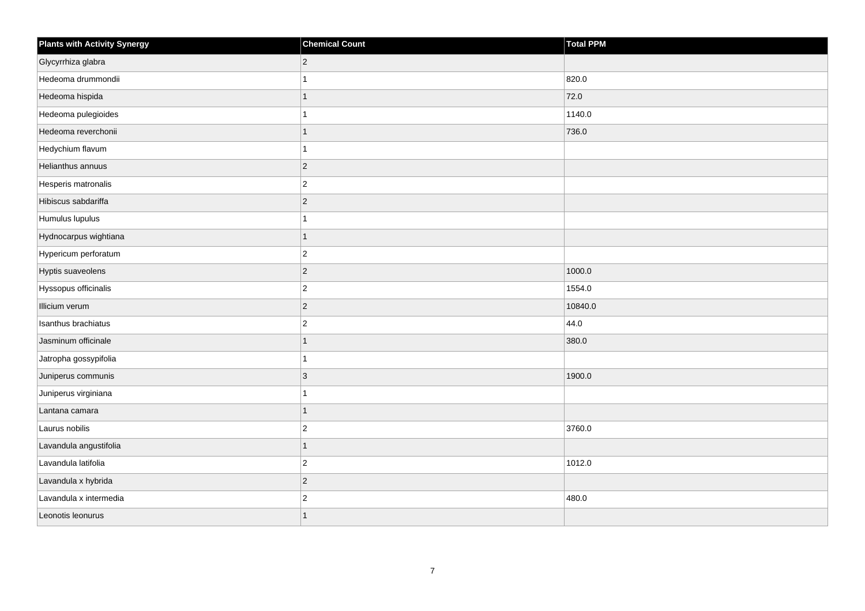| <b>Plants with Activity Synergy</b> | <b>Chemical Count</b> | Total PPM |
|-------------------------------------|-----------------------|-----------|
| Glycyrrhiza glabra                  | $\overline{2}$        |           |
| Hedeoma drummondii                  |                       | 820.0     |
| Hedeoma hispida                     |                       | 72.0      |
| Hedeoma pulegioides                 |                       | 1140.0    |
| Hedeoma reverchonii                 | 1                     | 736.0     |
| Hedychium flavum                    |                       |           |
| Helianthus annuus                   | $\overline{2}$        |           |
| Hesperis matronalis                 | $\overline{2}$        |           |
| Hibiscus sabdariffa                 | $\overline{2}$        |           |
| Humulus lupulus                     |                       |           |
| Hydnocarpus wightiana               | 1                     |           |
| Hypericum perforatum                | $\overline{2}$        |           |
| Hyptis suaveolens                   | $\overline{2}$        | 1000.0    |
| Hyssopus officinalis                | $\overline{2}$        | 1554.0    |
| Illicium verum                      | $\overline{2}$        | 10840.0   |
| Isanthus brachiatus                 | $\overline{2}$        | 44.0      |
| Jasminum officinale                 |                       | 380.0     |
| Jatropha gossypifolia               |                       |           |
| Juniperus communis                  | 3                     | 1900.0    |
| Juniperus virginiana                |                       |           |
| Lantana camara                      | 1                     |           |
| Laurus nobilis                      | $\overline{c}$        | 3760.0    |
| Lavandula angustifolia              | 1                     |           |
| Lavandula latifolia                 | $\overline{2}$        | 1012.0    |
| Lavandula x hybrida                 | $\overline{2}$        |           |
| Lavandula x intermedia              | $\overline{c}$        | 480.0     |
| Leonotis leonurus                   |                       |           |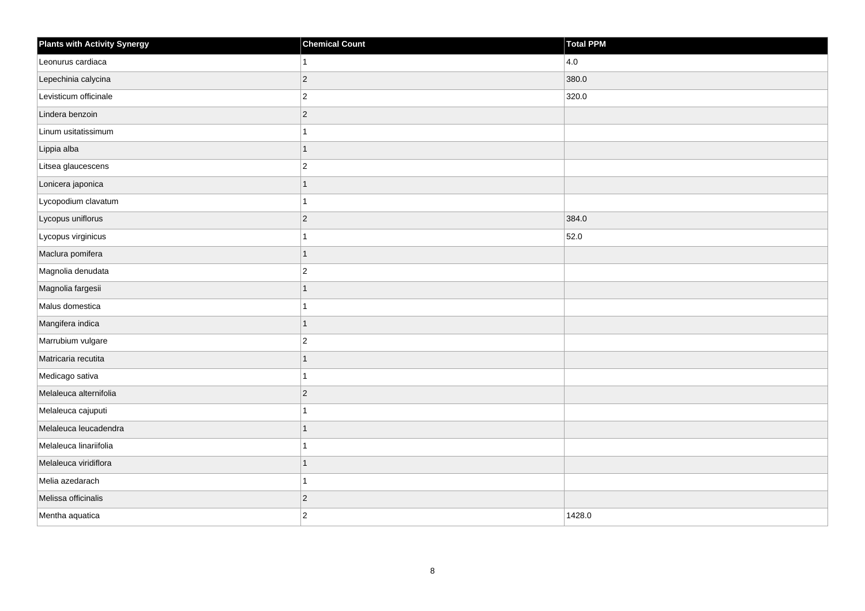| <b>Plants with Activity Synergy</b> | <b>Chemical Count</b> | Total PPM |
|-------------------------------------|-----------------------|-----------|
| Leonurus cardiaca                   | $\mathbf{1}$          | 4.0       |
| Lepechinia calycina                 | $ 2\rangle$           | 380.0     |
| Levisticum officinale               | $\vert$ 2             | 320.0     |
| Lindera benzoin                     | $ 2\rangle$           |           |
| Linum usitatissimum                 | 1                     |           |
| Lippia alba                         | $\mathbf{1}$          |           |
| Litsea glaucescens                  | $\vert$ 2             |           |
| Lonicera japonica                   | $\mathbf{1}$          |           |
| Lycopodium clavatum                 | 1                     |           |
| Lycopus uniflorus                   | $ 2\rangle$           | 384.0     |
| Lycopus virginicus                  | 1                     | 52.0      |
| Maclura pomifera                    | $\mathbf{1}$          |           |
| Magnolia denudata                   | $ 2\rangle$           |           |
| Magnolia fargesii                   | $\mathbf{1}$          |           |
| Malus domestica                     | 1                     |           |
| Mangifera indica                    | $\overline{1}$        |           |
| Marrubium vulgare                   | $ 2\rangle$           |           |
| Matricaria recutita                 | $\mathbf{1}$          |           |
| Medicago sativa                     | $\overline{1}$        |           |
| Melaleuca alternifolia              | $ 2\rangle$           |           |
| Melaleuca cajuputi                  | 1                     |           |
| Melaleuca leucadendra               | 1                     |           |
| Melaleuca linariifolia              | 1                     |           |
| Melaleuca viridiflora               | 1                     |           |
| Melia azedarach                     | $\mathbf{1}$          |           |
| Melissa officinalis                 | $ 2\rangle$           |           |
| Mentha aquatica                     | $\vert$ 2             | 1428.0    |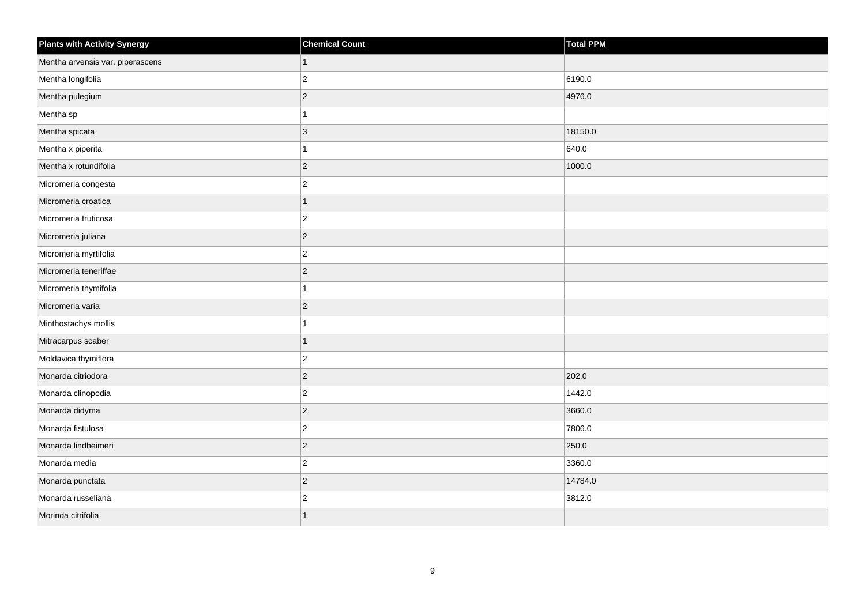| <b>Plants with Activity Synergy</b> | <b>Chemical Count</b>   | <b>Total PPM</b> |
|-------------------------------------|-------------------------|------------------|
| Mentha arvensis var. piperascens    | 1                       |                  |
| Mentha longifolia                   | $\overline{2}$          | 6190.0           |
| Mentha pulegium                     | $\overline{c}$          | 4976.0           |
| Mentha sp                           |                         |                  |
| Mentha spicata                      | 3                       | 18150.0          |
| Mentha x piperita                   |                         | 640.0            |
| Mentha x rotundifolia               | $\overline{2}$          | 1000.0           |
| Micromeria congesta                 | $\overline{2}$          |                  |
| Micromeria croatica                 | 1                       |                  |
| Micromeria fruticosa                | $\overline{2}$          |                  |
| Micromeria juliana                  | $\overline{2}$          |                  |
| Micromeria myrtifolia               | $\overline{c}$          |                  |
| Micromeria teneriffae               | $\overline{2}$          |                  |
| Micromeria thymifolia               |                         |                  |
| Micromeria varia                    | $\overline{2}$          |                  |
| Minthostachys mollis                | 1                       |                  |
| Mitracarpus scaber                  | 1                       |                  |
| Moldavica thymiflora                | $\overline{2}$          |                  |
| Monarda citriodora                  | $\overline{2}$          | 202.0            |
| Monarda clinopodia                  | $\overline{c}$          | 1442.0           |
| Monarda didyma                      | $\overline{2}$          | 3660.0           |
| Monarda fistulosa                   | $\overline{2}$          | 7806.0           |
| Monarda lindheimeri                 | $\overline{2}$          | 250.0            |
| Monarda media                       | $\overline{2}$          | 3360.0           |
| Monarda punctata                    | $\overline{2}$          | 14784.0          |
| Monarda russeliana                  | $\overline{\mathbf{c}}$ | 3812.0           |
| Morinda citrifolia                  |                         |                  |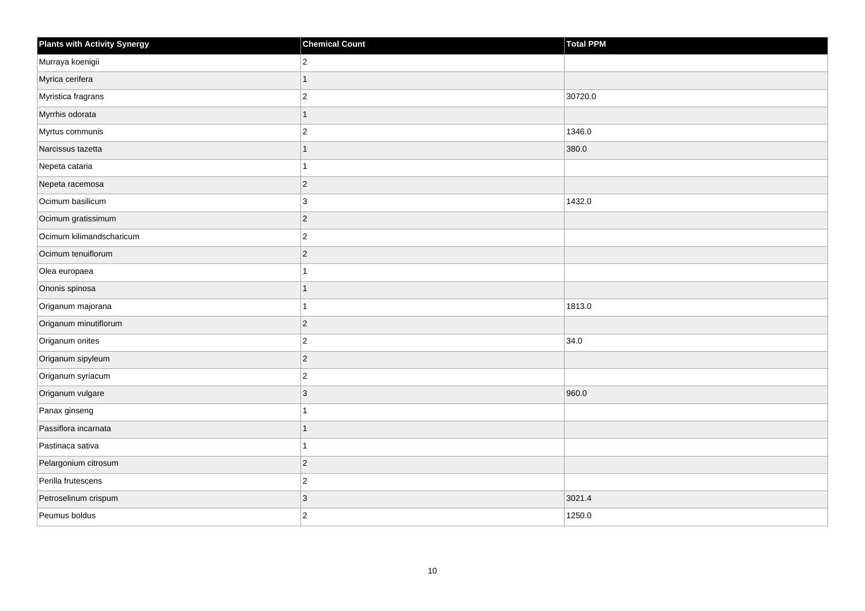| <b>Plants with Activity Synergy</b> | <b>Chemical Count</b> | <b>Total PPM</b> |
|-------------------------------------|-----------------------|------------------|
| Murraya koenigii                    | $\mathbf 2$           |                  |
| Myrica cerifera                     | $\overline{1}$        |                  |
| Myristica fragrans                  | $\mathbf 2$           | 30720.0          |
| Myrrhis odorata                     | $\mathbf{1}$          |                  |
| Myrtus communis                     | $\overline{c}$        | 1346.0           |
| Narcissus tazetta                   | $\mathbf{1}$          | 380.0            |
| Nepeta cataria                      | $\mathbf{1}$          |                  |
| Nepeta racemosa                     | $\mathbf 2$           |                  |
| Ocimum basilicum                    | 3                     | 1432.0           |
| Ocimum gratissimum                  | $\vert$ 2             |                  |
| Ocimum kilimandscharicum            | $\mathbf 2$           |                  |
| Ocimum tenuiflorum                  | $\vert$ 2             |                  |
| Olea europaea                       | $\overline{1}$        |                  |
| Ononis spinosa                      | $\mathbf{1}$          |                  |
| Origanum majorana                   | $\mathbf{1}$          | 1813.0           |
| Origanum minutiflorum               | $\overline{2}$        |                  |
| Origanum onites                     | $\overline{c}$        | 34.0             |
| Origanum sipyleum                   | $\vert$ 2             |                  |
| Origanum syriacum                   | $\vert$ 2             |                  |
| Origanum vulgare                    | $\mathbf{3}$          | 960.0            |
| Panax ginseng                       | $\overline{1}$        |                  |
| Passiflora incarnata                | $\mathbf{1}$          |                  |
| Pastinaca sativa                    | $\mathbf{1}$          |                  |
| Pelargonium citrosum                | $\vert$ 2             |                  |
| Perilla frutescens                  | $\overline{c}$        |                  |
| Petroselinum crispum                | $\mathbf{3}$          | 3021.4           |
| Peumus boldus                       | $\overline{2}$        | 1250.0           |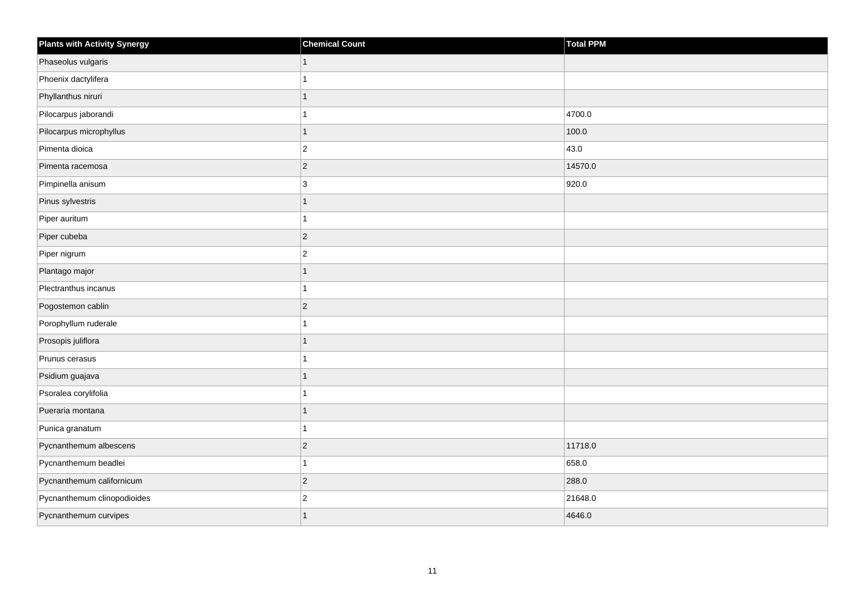| <b>Plants with Activity Synergy</b> | <b>Chemical Count</b> | <b>Total PPM</b> |
|-------------------------------------|-----------------------|------------------|
| Phaseolus vulgaris                  |                       |                  |
| Phoenix dactylifera                 |                       |                  |
| Phyllanthus niruri                  |                       |                  |
| Pilocarpus jaborandi                |                       | 4700.0           |
| Pilocarpus microphyllus             |                       | 100.0            |
| Pimenta dioica                      | $\overline{2}$        | 43.0             |
| Pimenta racemosa                    | $\overline{2}$        | 14570.0          |
| Pimpinella anisum                   | 3                     | 920.0            |
| Pinus sylvestris                    |                       |                  |
| Piper auritum                       |                       |                  |
| Piper cubeba                        | $\overline{2}$        |                  |
| Piper nigrum                        | $\overline{c}$        |                  |
| Plantago major                      | 1                     |                  |
| Plectranthus incanus                |                       |                  |
| Pogostemon cablin                   | $\overline{2}$        |                  |
| Porophyllum ruderale                |                       |                  |
| Prosopis juliflora                  |                       |                  |
| Prunus cerasus                      |                       |                  |
| Psidium guajava                     | 1                     |                  |
| Psoralea corylifolia                |                       |                  |
| Pueraria montana                    |                       |                  |
| Punica granatum                     | 1                     |                  |
| Pycnanthemum albescens              | $\overline{2}$        | 11718.0          |
| Pycnanthemum beadlei                |                       | 658.0            |
| Pycnanthemum californicum           | $\overline{c}$        | 288.0            |
| Pycnanthemum clinopodioides         | $\overline{c}$        | 21648.0          |
| Pycnanthemum curvipes               |                       | 4646.0           |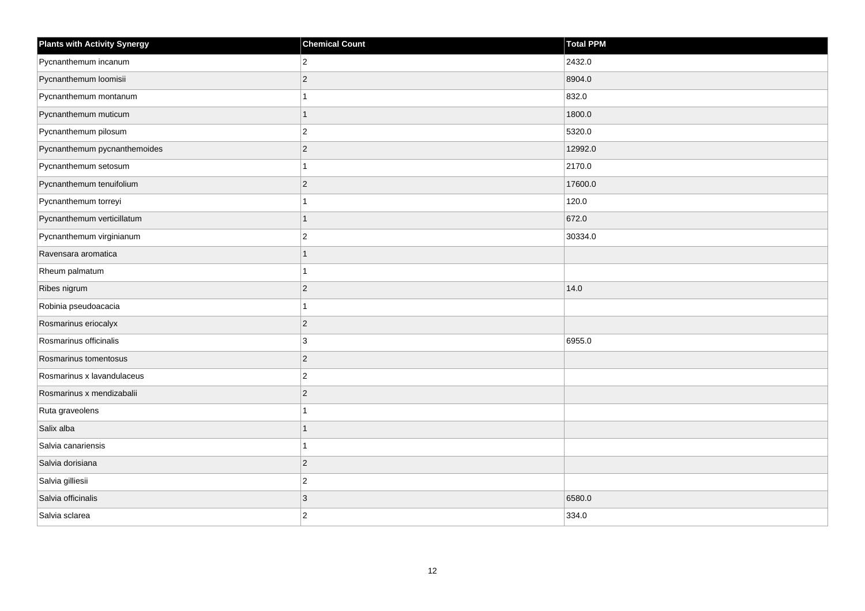| <b>Plants with Activity Synergy</b> | <b>Chemical Count</b> | <b>Total PPM</b> |
|-------------------------------------|-----------------------|------------------|
| Pycnanthemum incanum                | $\overline{2}$        | 2432.0           |
| Pycnanthemum loomisii               | $\overline{2}$        | 8904.0           |
| Pycnanthemum montanum               |                       | 832.0            |
| Pycnanthemum muticum                | 1                     | 1800.0           |
| Pycnanthemum pilosum                | $\overline{2}$        | 5320.0           |
| Pycnanthemum pycnanthemoides        | $\overline{2}$        | 12992.0          |
| Pycnanthemum setosum                |                       | 2170.0           |
| Pycnanthemum tenuifolium            | $\overline{2}$        | 17600.0          |
| Pycnanthemum torreyi                |                       | 120.0            |
| Pycnanthemum verticillatum          |                       | 672.0            |
| Pycnanthemum virginianum            | $\overline{2}$        | 30334.0          |
| Ravensara aromatica                 |                       |                  |
| Rheum palmatum                      |                       |                  |
| Ribes nigrum                        | $\overline{c}$        | 14.0             |
| Robinia pseudoacacia                |                       |                  |
| Rosmarinus eriocalyx                | $\overline{2}$        |                  |
| Rosmarinus officinalis              | 3                     | 6955.0           |
| Rosmarinus tomentosus               | $\overline{2}$        |                  |
| Rosmarinus x lavandulaceus          | $\overline{2}$        |                  |
| Rosmarinus x mendizabalii           | $\overline{c}$        |                  |
| Ruta graveolens                     |                       |                  |
| Salix alba                          |                       |                  |
| Salvia canariensis                  |                       |                  |
| Salvia dorisiana                    | $\overline{2}$        |                  |
| Salvia gilliesii                    | $\overline{2}$        |                  |
| Salvia officinalis                  | 3                     | 6580.0           |
| Salvia sclarea                      | $\overline{c}$        | 334.0            |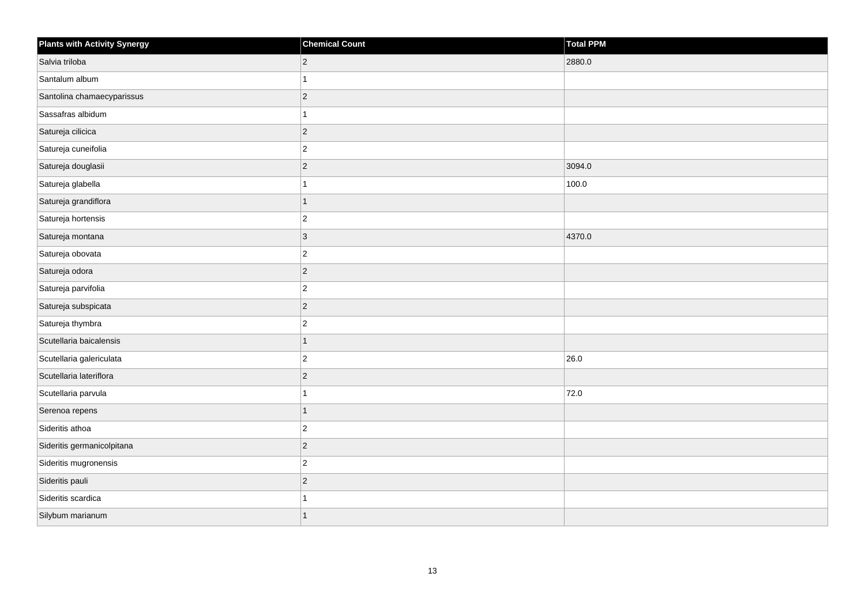| <b>Plants with Activity Synergy</b> | <b>Chemical Count</b> | <b>Total PPM</b> |
|-------------------------------------|-----------------------|------------------|
| Salvia triloba                      | $ 2\rangle$           | 2880.0           |
| Santalum album                      | 1                     |                  |
| Santolina chamaecyparissus          | $ 2\rangle$           |                  |
| Sassafras albidum                   | $\mathbf{1}$          |                  |
| Satureja cilicica                   | $ 2\rangle$           |                  |
| Satureja cuneifolia                 | $ 2\rangle$           |                  |
| Satureja douglasii                  | $ 2\rangle$           | 3094.0           |
| Satureja glabella                   | 1                     | 100.0            |
| Satureja grandiflora                | $\overline{1}$        |                  |
| Satureja hortensis                  | $ 2\rangle$           |                  |
| Satureja montana                    | $ 3\rangle$           | 4370.0           |
| Satureja obovata                    | $\vert$ 2             |                  |
| Satureja odora                      | $ 2\rangle$           |                  |
| Satureja parvifolia                 | $ 2\rangle$           |                  |
| Satureja subspicata                 | $ 2\rangle$           |                  |
| Satureja thymbra                    | $ 2\rangle$           |                  |
| Scutellaria baicalensis             | $\mathbf{1}$          |                  |
| Scutellaria galericulata            | $ 2\rangle$           | 26.0             |
| Scutellaria lateriflora             | $ 2\rangle$           |                  |
| Scutellaria parvula                 | 1                     | 72.0             |
| Serenoa repens                      | $\mathbf{1}$          |                  |
| Sideritis athoa                     | $ 2\rangle$           |                  |
| Sideritis germanicolpitana          | $ 2\rangle$           |                  |
| Sideritis mugronensis               | $ 2\rangle$           |                  |
| Sideritis pauli                     | $ 2\rangle$           |                  |
| Sideritis scardica                  | 1                     |                  |
| Silybum marianum                    | $\mathbf{1}$          |                  |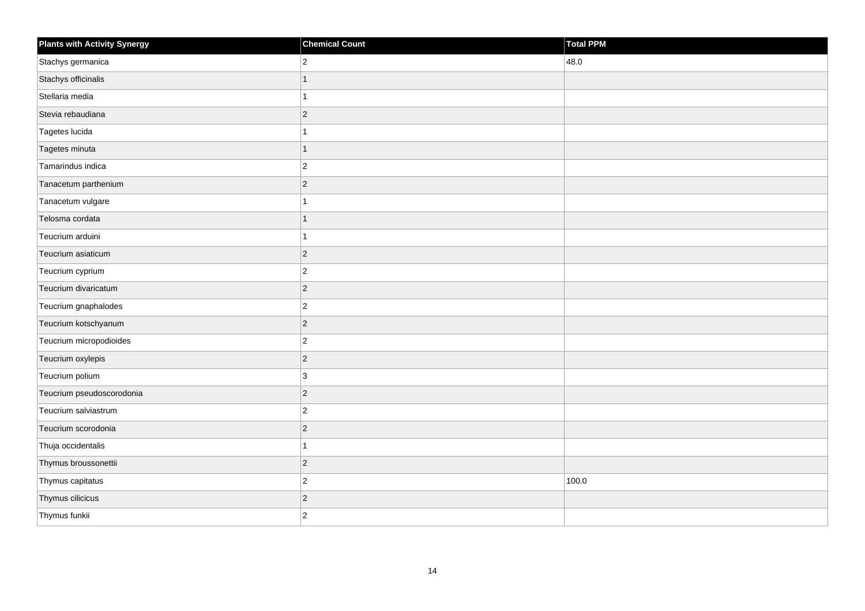| <b>Plants with Activity Synergy</b> | <b>Chemical Count</b> | Total PPM |
|-------------------------------------|-----------------------|-----------|
| Stachys germanica                   | $\overline{2}$        | 48.0      |
| Stachys officinalis                 |                       |           |
| Stellaria media                     |                       |           |
| Stevia rebaudiana                   | $\overline{2}$        |           |
| Tagetes lucida                      |                       |           |
| Tagetes minuta                      | 1                     |           |
| Tamarindus indica                   | $\overline{2}$        |           |
| Tanacetum parthenium                | $\overline{2}$        |           |
| Tanacetum vulgare                   |                       |           |
| Telosma cordata                     | 1                     |           |
| Teucrium arduini                    |                       |           |
| Teucrium asiaticum                  | $ 2\rangle$           |           |
| Teucrium cyprium                    | $\overline{c}$        |           |
| Teucrium divaricatum                | $\overline{2}$        |           |
| Teucrium gnaphalodes                | $\overline{2}$        |           |
| Teucrium kotschyanum                | $\overline{c}$        |           |
| Teucrium micropodioides             | $\overline{2}$        |           |
| Teucrium oxylepis                   | $ 2\rangle$           |           |
| Teucrium polium                     | $\mathbf{3}$          |           |
| Teucrium pseudoscorodonia           | $\overline{2}$        |           |
| Teucrium salviastrum                | $\overline{2}$        |           |
| Teucrium scorodonia                 | $\overline{2}$        |           |
| Thuja occidentalis                  |                       |           |
| Thymus broussonettii                | $\overline{2}$        |           |
| Thymus capitatus                    | $\overline{c}$        | 100.0     |
| Thymus cilicicus                    | $\overline{2}$        |           |
| Thymus funkii                       | $\overline{2}$        |           |